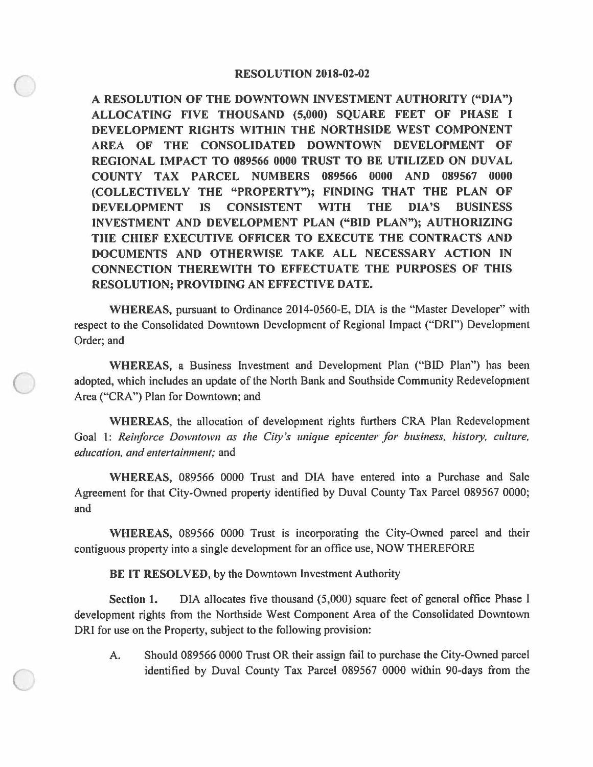## **RESOLUTION 2018-02-02**

 $\bigcirc$ 

 $\bigcirc$ 

I **ALLOCATING FIVE THOUSAND (5,000) SQUARE FEET OF PHASE A RESOLUTION OF THE DOWNTOWN INVESTMENT AUTHORITY ("DIA") DEVELOPMENT RIGHTS WITHIN THE NORTHSIDE WEST COMPONENT AREA OF THE CONSOLIDATED DOWNTOWN DEVELOPMENT OF REGIONAL IMPACT TO 089566 0000 TRUST TO BE UTILIZED ON DUVAL COUNTY TAX PARCEL NUMBERS 089566 0000 AND 089567 0000 (COLLECTIVELY THE "PROPERTY"); FINDING THAT THE PLAN OF DEVELOPMENT IS CONSISTENT WITH THE DIA'S BUSINESS INVESTMENT AND DEVELOPMENT PLAN ("BID PLAN"); AUTHORIZING THE CHIEF EXECUTIVE OFFICER TO EXECUTE THE CONTRACTS AND DOCUMENTS AND OTHERWISE TAKE ALL NECESSARY ACTION IN CONNECTION THEREWITH TO EFFECTUATE THE PURPOSES OF THIS RESOLUTION; PROVIDING AN EFFECTIVE DATE.** 

**WHEREAS,** pursuant to Ordinance 2014-0560-E, DIA is the "Master Developer" with respect to the Consolidated Downtown Development of Regional Impact ("ORI") Development Order; and

**WHEREAS,** a Business Investment and Development Plan ("BID Plan") has been adopted, which includes an update of the North Bank and Southside Community Redevelopment Area ("CRA") Plan for Downtown; and

**WHEREAS,** the allocation of development rights furthers CRA Plan Redevelopment Goal 1: *Reinforce Downtown as the City's unique epicenter for business, history, culture, education, and entertainment;* and

**WHEREAS,** 089566 0000 Trust and DIA have entered into a Purchase and Sale Agreement for that City-Owned property identified by Duval County Tax Parcel 089567 0000; and

**WHEREAS,** 089566 0000 Trust is incorporating the City-Owned parcel and their contiguous property into a single development for an office use, NOW THEREFORE

**BE IT RESOLVED,** by the Downtown Investment Authority

**Section 1.** DIA allocates five thousand {5,000) square feet of general office Phase I development rights from the Northside West Component Area of the Consolidated Downtown ORI for use on the Property, subject to the following provision:

A. Should 089566 0000 Trust OR their assign fail to purchase the City-Owned parcel identified by Duval County Tax Parcel 089567 0000 within 90-days from the